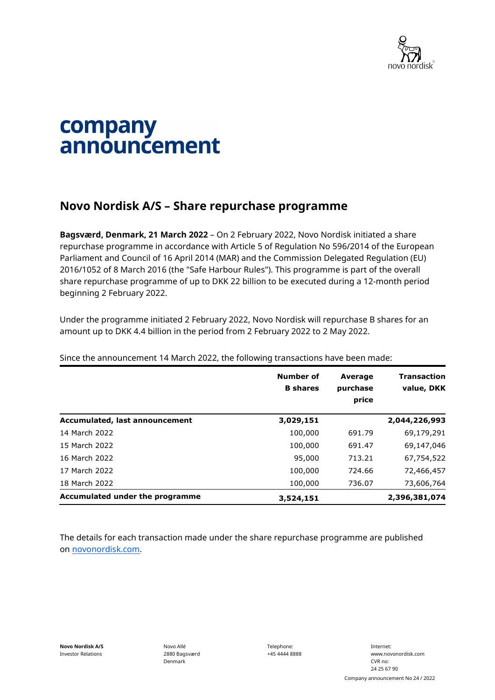

## company announcement

## **Novo Nordisk A/S – Share repurchase programme**

**Bagsværd, Denmark, 21 March 2022** – On 2 February 2022, Novo Nordisk initiated a share repurchase programme in accordance with Article 5 of Regulation No 596/2014 of the European Parliament and Council of 16 April 2014 (MAR) and the Commission Delegated Regulation (EU) 2016/1052 of 8 March 2016 (the "Safe Harbour Rules"). This programme is part of the overall share repurchase programme of up to DKK 22 billion to be executed during a 12-month period beginning 2 February 2022.

Under the programme initiated 2 February 2022, Novo Nordisk will repurchase B shares for an amount up to DKK 4.4 billion in the period from 2 February 2022 to 2 May 2022.

|                                 | Number of<br><b>B</b> shares | <b>Average</b><br>purchase<br>price | <b>Transaction</b><br>value, DKK |
|---------------------------------|------------------------------|-------------------------------------|----------------------------------|
| Accumulated, last announcement  | 3,029,151                    |                                     | 2,044,226,993                    |
| 14 March 2022                   | 100,000                      | 691.79                              | 69,179,291                       |
| 15 March 2022                   | 100,000                      | 691.47                              | 69,147,046                       |
| 16 March 2022                   | 95,000                       | 713.21                              | 67,754,522                       |
| 17 March 2022                   | 100,000                      | 724.66                              | 72,466,457                       |
| 18 March 2022                   | 100,000                      | 736.07                              | 73,606,764                       |
| Accumulated under the programme | 3,524,151                    |                                     | 2,396,381,074                    |

Since the announcement 14 March 2022, the following transactions have been made:

The details for each transaction made under the share repurchase programme are published on [novonordisk.com.](https://www.novonordisk.com/news-and-media/news-and-ir-materials.html)